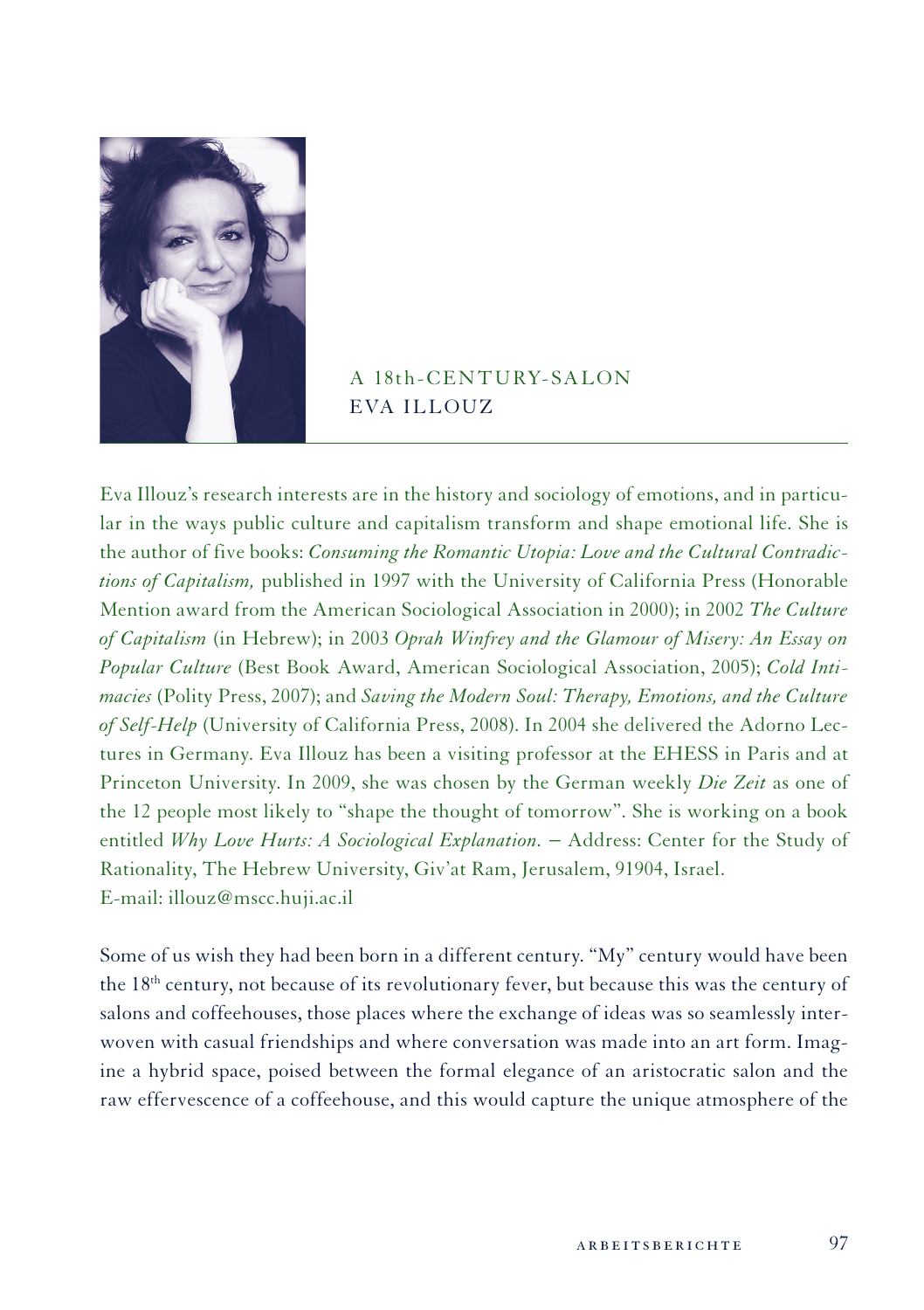

## A 18th-CENTHRY-SALON Eva Illouz

Eva Illouz's research interests are in the history and sociology of emotions, and in particular in the ways public culture and capitalism transform and shape emotional life. She is the author of five books: *Consuming the Romantic Utopia: Love and the Cultural Contradictions of Capitalism,* published in 1997 with the University of California Press (Honorable Mention award from the American Sociological Association in 2000); in 2002 *The Culture of Capitalism* (in Hebrew); in 2003 *Oprah Winfrey and the Glamour of Misery: An Essay on Popular Culture* (Best Book Award, American Sociological Association, 2005); *Cold Intimacies* (Polity Press, 2007); and *Saving the Modern Soul: Therapy, Emotions, and the Culture of Self-Help* (University of California Press, 2008). In 2004 she delivered the Adorno Lectures in Germany. Eva Illouz has been a visiting professor at the EHESS in Paris and at Princeton University. In 2009, she was chosen by the German weekly *Die Zeit* as one of the 12 people most likely to "shape the thought of tomorrow". She is working on a book entitled *Why Love Hurts: A Sociological Explanation.* − Address: Center for the Study of Rationality, The Hebrew University, Giv'at Ram, Jerusalem, 91904, Israel. E-mail: illouz@mscc.huji.ac.il

Some of us wish they had been born in a different century. "My" century would have been the 18th century, not because of its revolutionary fever, but because this was the century of salons and coffeehouses, those places where the exchange of ideas was so seamlessly interwoven with casual friendships and where conversation was made into an art form. Imagine a hybrid space, poised between the formal elegance of an aristocratic salon and the raw effervescence of a coffeehouse, and this would capture the unique atmosphere of the